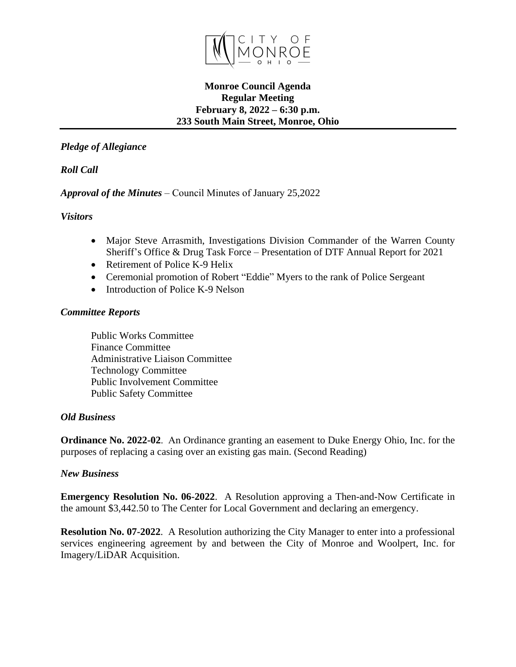

#### **Monroe Council Agenda Regular Meeting February 8, 2022 – 6:30 p.m. 233 South Main Street, Monroe, Ohio**

## *Pledge of Allegiance*

# *Roll Call*

### *Approval of the Minutes* – Council Minutes of January 25,2022

### *Visitors*

- Major Steve Arrasmith, Investigations Division Commander of the Warren County Sheriff's Office & Drug Task Force – Presentation of DTF Annual Report for 2021
- Retirement of Police K-9 Helix
- Ceremonial promotion of Robert "Eddie" Myers to the rank of Police Sergeant
- Introduction of Police K-9 Nelson

### *Committee Reports*

Public Works Committee Finance Committee Administrative Liaison Committee Technology Committee Public Involvement Committee Public Safety Committee

#### *Old Business*

**Ordinance No. 2022-02**. An Ordinance granting an easement to Duke Energy Ohio, Inc. for the purposes of replacing a casing over an existing gas main. (Second Reading)

### *New Business*

**Emergency Resolution No. 06-2022**. A Resolution approving a Then-and-Now Certificate in the amount \$3,442.50 to The Center for Local Government and declaring an emergency.

**Resolution No. 07-2022**. A Resolution authorizing the City Manager to enter into a professional services engineering agreement by and between the City of Monroe and Woolpert, Inc. for Imagery/LiDAR Acquisition.